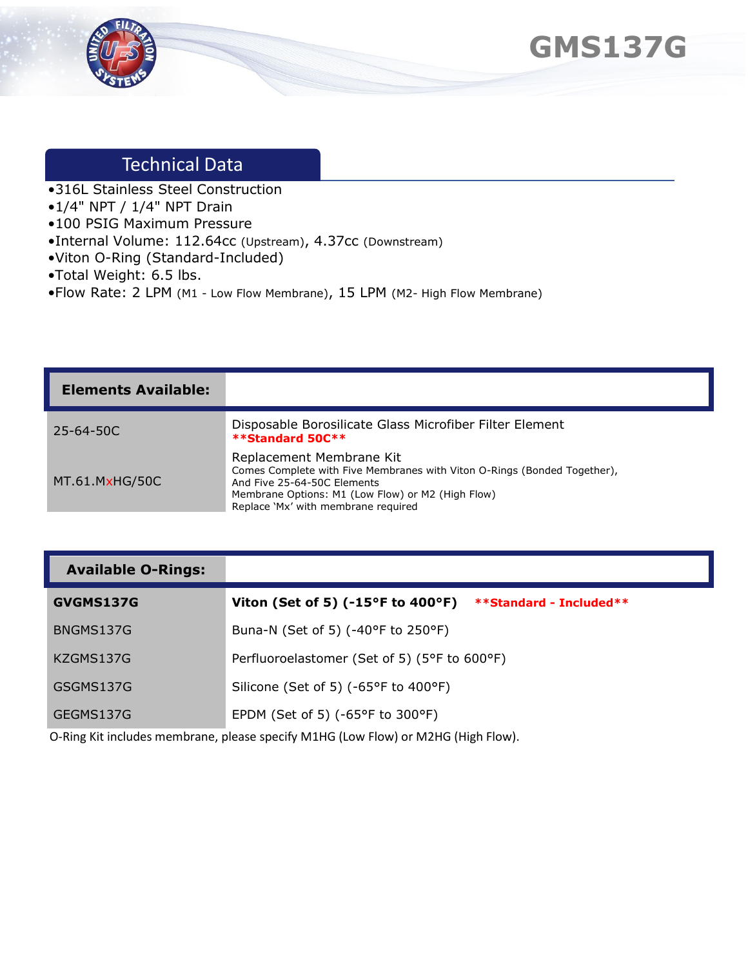



# Technical Data

- •316L Stainless Steel Construction
- •1/4" NPT / 1/4" NPT Drain
- •100 PSIG Maximum Pressure
- •Internal Volume: 112.64cc (Upstream), 4.37cc (Downstream)
- •Viton O-Ring (Standard-Included)
- •Total Weight: 6.5 lbs.
- •Flow Rate: 2 LPM (M1 Low Flow Membrane), 15 LPM (M2- High Flow Membrane)

| <b>Elements Available:</b> |                                                                                                                                                                                                                                 |
|----------------------------|---------------------------------------------------------------------------------------------------------------------------------------------------------------------------------------------------------------------------------|
| $25 - 64 - 50C$            | Disposable Borosilicate Glass Microfiber Filter Element<br>**Standard 50C**                                                                                                                                                     |
| MT.61.MxHG/50C             | Replacement Membrane Kit<br>Comes Complete with Five Membranes with Viton O-Rings (Bonded Together),<br>And Five 25-64-50C Elements<br>Membrane Options: M1 (Low Flow) or M2 (High Flow)<br>Replace 'Mx' with membrane required |

#### **Available O-Rings:**

| GVGMS137G | Viton (Set of 5) (-15°F to 400°F) **Standard - Included** |
|-----------|-----------------------------------------------------------|
| BNGMS137G | Buna-N (Set of 5) (-40°F to 250°F)                        |
| KZGMS137G | Perfluoroelastomer (Set of 5) (5°F to 600°F)              |
| GSGMS137G | Silicone (Set of 5) (-65°F to 400°F)                      |
| GEGMS137G | EPDM (Set of 5) ( $-65^{\circ}$ F to 300 $^{\circ}$ F)    |

O-Ring Kit includes membrane, please specify M1HG (Low Flow) or M2HG (High Flow).